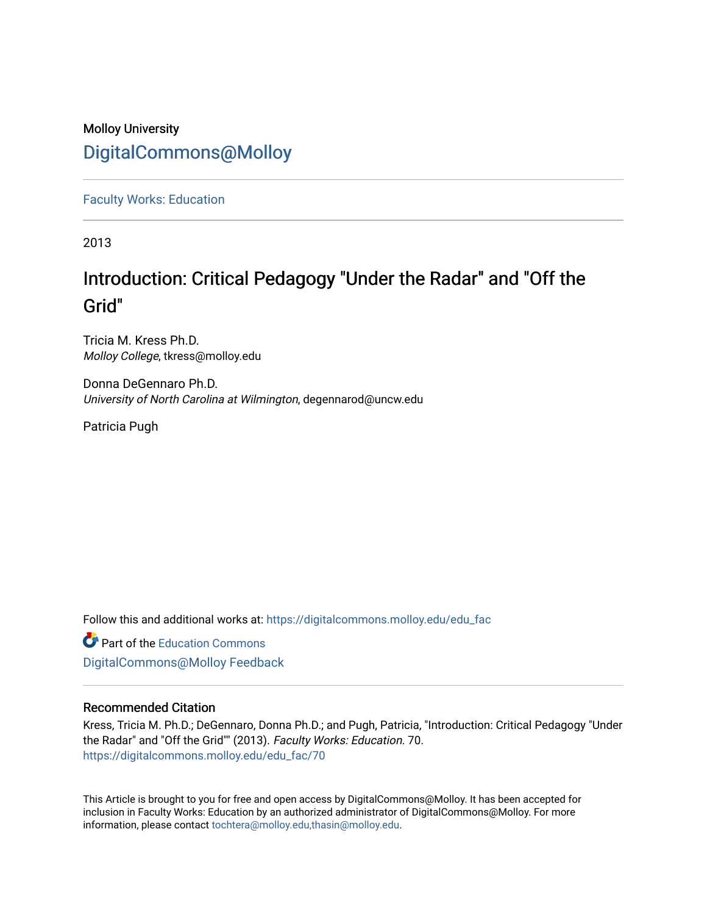# Molloy University [DigitalCommons@Molloy](https://digitalcommons.molloy.edu/)

[Faculty Works: Education](https://digitalcommons.molloy.edu/edu_fac) 

2013

# Introduction: Critical Pedagogy "Under the Radar" and "Off the Grid"

Tricia M. Kress Ph.D. Molloy College, tkress@molloy.edu

Donna DeGennaro Ph.D. University of North Carolina at Wilmington, degennarod@uncw.edu

Patricia Pugh

Follow this and additional works at: [https://digitalcommons.molloy.edu/edu\\_fac](https://digitalcommons.molloy.edu/edu_fac?utm_source=digitalcommons.molloy.edu%2Fedu_fac%2F70&utm_medium=PDF&utm_campaign=PDFCoverPages)

**Part of the [Education Commons](https://network.bepress.com/hgg/discipline/784?utm_source=digitalcommons.molloy.edu%2Fedu_fac%2F70&utm_medium=PDF&utm_campaign=PDFCoverPages)** [DigitalCommons@Molloy Feedback](https://molloy.libwizard.com/f/dcfeedback)

### Recommended Citation

Kress, Tricia M. Ph.D.; DeGennaro, Donna Ph.D.; and Pugh, Patricia, "Introduction: Critical Pedagogy "Under the Radar" and "Off the Grid"" (2013). Faculty Works: Education. 70. [https://digitalcommons.molloy.edu/edu\\_fac/70](https://digitalcommons.molloy.edu/edu_fac/70?utm_source=digitalcommons.molloy.edu%2Fedu_fac%2F70&utm_medium=PDF&utm_campaign=PDFCoverPages) 

This Article is brought to you for free and open access by DigitalCommons@Molloy. It has been accepted for inclusion in Faculty Works: Education by an authorized administrator of DigitalCommons@Molloy. For more information, please contact [tochtera@molloy.edu,thasin@molloy.edu.](mailto:tochtera@molloy.edu,thasin@molloy.edu)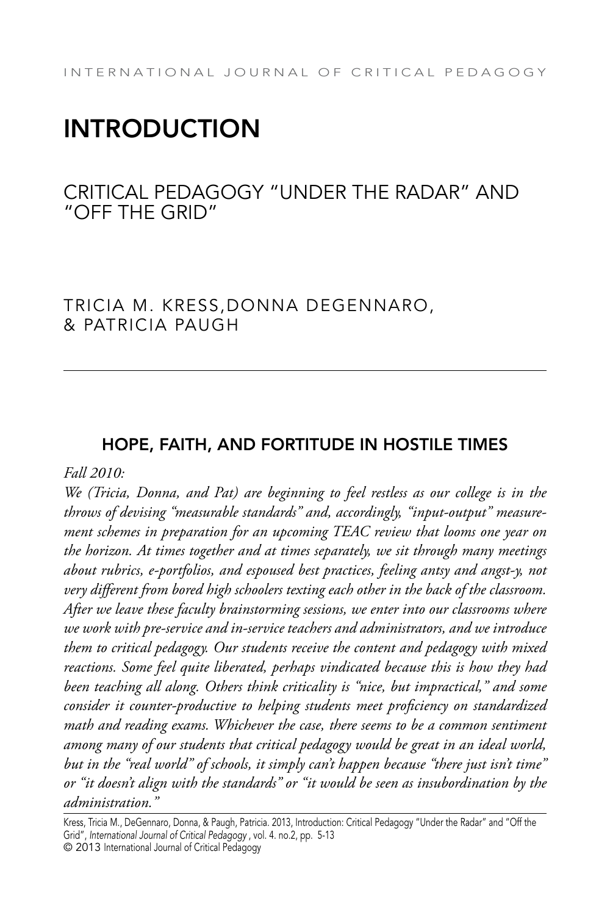# **INTRODUCTION**

# Critical Pedagogy "Under the Radar" and "Off the Grid"

## Tricia M. Kress,Donna DeGennaro, & Patricia Paugh

### Hope, Faith, and Fortitude in Hostile Times

#### *Fall 2010:*

*We (Tricia, Donna, and Pat) are beginning to feel restless as our college is in the throws of devising "measurable standards" and, accordingly, "input-output" measurement schemes in preparation for an upcoming TEAC review that looms one year on the horizon. At times together and at times separately, we sit through many meetings about rubrics, e-portfolios, and espoused best practices, feeling antsy and angst-y, not very different from bored high schoolers texting each other in the back of the classroom. After we leave these faculty brainstorming sessions, we enter into our classrooms where we work with pre-service and in-service teachers and administrators, and we introduce them to critical pedagogy. Our students receive the content and pedagogy with mixed reactions. Some feel quite liberated, perhaps vindicated because this is how they had been teaching all along. Others think criticality is "nice, but impractical," and some consider it counter-productive to helping students meet proficiency on standardized math and reading exams. Whichever the case, there seems to be a common sentiment among many of our students that critical pedagogy would be great in an ideal world, but in the "real world" of schools, it simply can't happen because "there just isn't time" or "it doesn't align with the standards" or "it would be seen as insubordination by the administration."* 

Kress, Tricia M., DeGennaro, Donna, & Paugh, Patricia. 2013, Introduction: Critical Pedagogy "Under the Radar" and "Off the Grid", International Journal of Critical Pedagogy , vol. 4. no.2, pp. 5-13

<sup>© 2013</sup> International Journal of Critical Pedagogy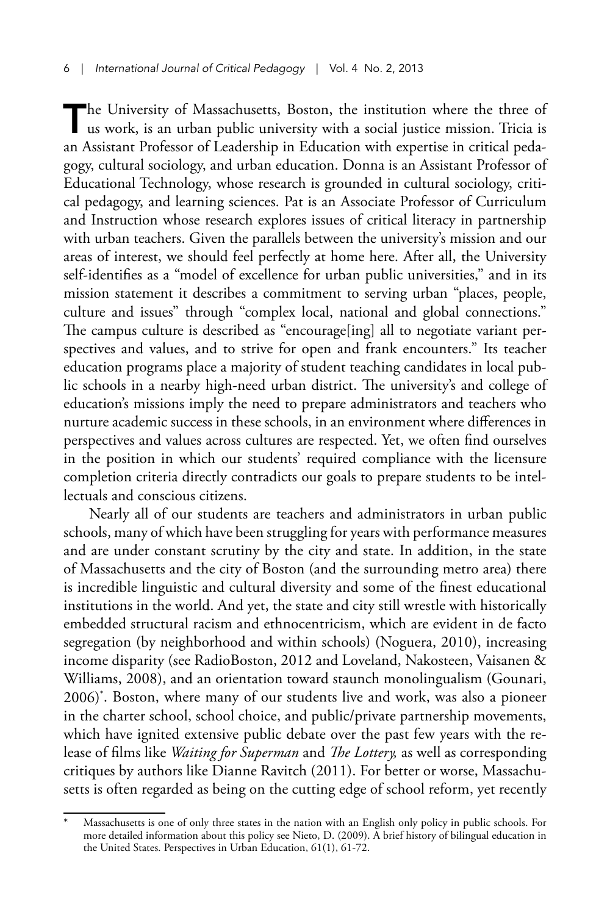The University of Massachusetts, Boston, the institution where the three of us work, is an urban public university with a social justice mission. Tricia is an Assistant Professor of Leadership in Education with expertise in critical pedagogy, cultural sociology, and urban education. Donna is an Assistant Professor of Educational Technology, whose research is grounded in cultural sociology, critical pedagogy, and learning sciences. Pat is an Associate Professor of Curriculum and Instruction whose research explores issues of critical literacy in partnership with urban teachers. Given the parallels between the university's mission and our areas of interest, we should feel perfectly at home here. After all, the University self-identifies as a "model of excellence for urban public universities," and in its mission statement it describes a commitment to serving urban "places, people, culture and issues" through "complex local, national and global connections." The campus culture is described as "encourage[ing] all to negotiate variant perspectives and values, and to strive for open and frank encounters." Its teacher education programs place a majority of student teaching candidates in local public schools in a nearby high-need urban district. The university's and college of education's missions imply the need to prepare administrators and teachers who nurture academic success in these schools, in an environment where differences in perspectives and values across cultures are respected. Yet, we often find ourselves in the position in which our students' required compliance with the licensure completion criteria directly contradicts our goals to prepare students to be intellectuals and conscious citizens.

Nearly all of our students are teachers and administrators in urban public schools, many of which have been struggling for years with performance measures and are under constant scrutiny by the city and state. In addition, in the state of Massachusetts and the city of Boston (and the surrounding metro area) there is incredible linguistic and cultural diversity and some of the finest educational institutions in the world. And yet, the state and city still wrestle with historically embedded structural racism and ethnocentricism, which are evident in de facto segregation (by neighborhood and within schools) (Noguera, 2010), increasing income disparity (see RadioBoston, 2012 and Loveland, Nakosteen, Vaisanen & Williams, 2008), and an orientation toward staunch monolingualism (Gounari, 2006)\* . Boston, where many of our students live and work, was also a pioneer in the charter school, school choice, and public/private partnership movements, which have ignited extensive public debate over the past few years with the release of films like *Waiting for Superman* and *The Lottery,* as well as corresponding critiques by authors like Dianne Ravitch (2011). For better or worse, Massachusetts is often regarded as being on the cutting edge of school reform, yet recently

Massachusetts is one of only three states in the nation with an English only policy in public schools. For more detailed information about this policy see Nieto, D. (2009). A brief history of bilingual education in the United States. Perspectives in Urban Education, 61(1), 61-72.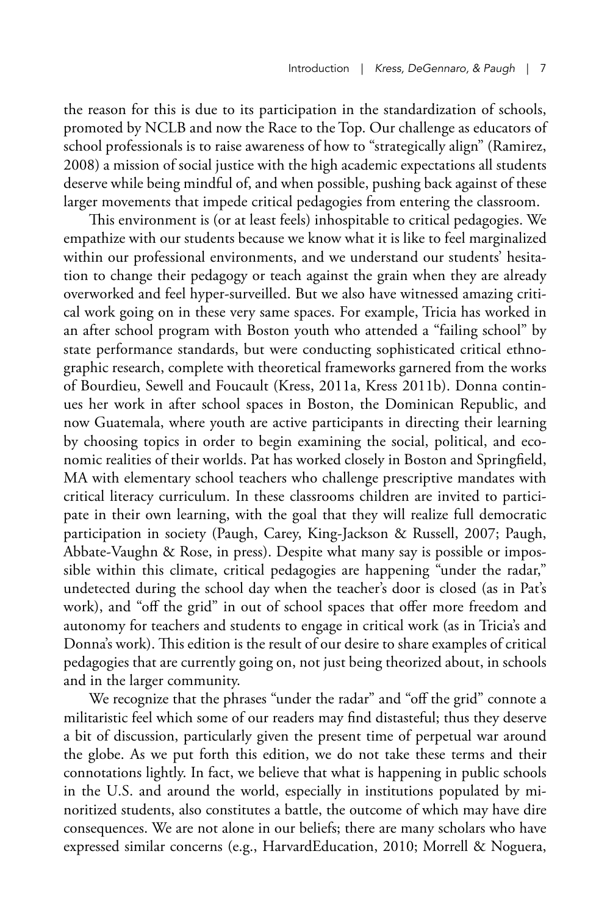the reason for this is due to its participation in the standardization of schools, promoted by NCLB and now the Race to the Top. Our challenge as educators of school professionals is to raise awareness of how to "strategically align" (Ramirez, 2008) a mission of social justice with the high academic expectations all students deserve while being mindful of, and when possible, pushing back against of these larger movements that impede critical pedagogies from entering the classroom.

This environment is (or at least feels) inhospitable to critical pedagogies. We empathize with our students because we know what it is like to feel marginalized within our professional environments, and we understand our students' hesitation to change their pedagogy or teach against the grain when they are already overworked and feel hyper-surveilled. But we also have witnessed amazing critical work going on in these very same spaces. For example, Tricia has worked in an after school program with Boston youth who attended a "failing school" by state performance standards, but were conducting sophisticated critical ethnographic research, complete with theoretical frameworks garnered from the works of Bourdieu, Sewell and Foucault (Kress, 2011a, Kress 2011b). Donna continues her work in after school spaces in Boston, the Dominican Republic, and now Guatemala, where youth are active participants in directing their learning by choosing topics in order to begin examining the social, political, and economic realities of their worlds. Pat has worked closely in Boston and Springfield, MA with elementary school teachers who challenge prescriptive mandates with critical literacy curriculum. In these classrooms children are invited to participate in their own learning, with the goal that they will realize full democratic participation in society (Paugh, Carey, King-Jackson & Russell, 2007; Paugh, Abbate-Vaughn & Rose, in press). Despite what many say is possible or impossible within this climate, critical pedagogies are happening "under the radar," undetected during the school day when the teacher's door is closed (as in Pat's work), and "off the grid" in out of school spaces that offer more freedom and autonomy for teachers and students to engage in critical work (as in Tricia's and Donna's work). This edition is the result of our desire to share examples of critical pedagogies that are currently going on, not just being theorized about, in schools and in the larger community.

We recognize that the phrases "under the radar" and "off the grid" connote a militaristic feel which some of our readers may find distasteful; thus they deserve a bit of discussion, particularly given the present time of perpetual war around the globe. As we put forth this edition, we do not take these terms and their connotations lightly. In fact, we believe that what is happening in public schools in the U.S. and around the world, especially in institutions populated by minoritized students, also constitutes a battle, the outcome of which may have dire consequences. We are not alone in our beliefs; there are many scholars who have expressed similar concerns (e.g., HarvardEducation, 2010; Morrell & Noguera,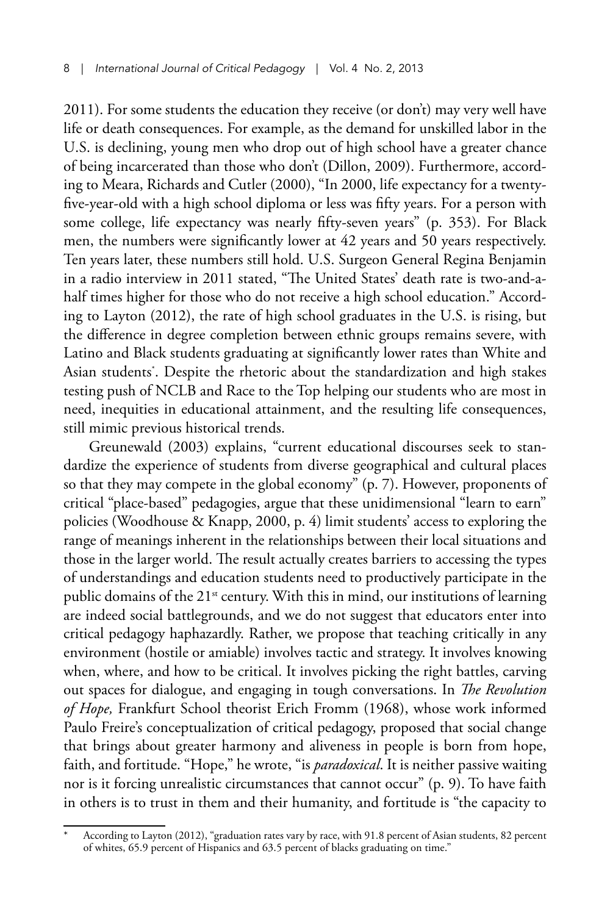2011). For some students the education they receive (or don't) may very well have life or death consequences. For example, as the demand for unskilled labor in the U.S. is declining, young men who drop out of high school have a greater chance of being incarcerated than those who don't (Dillon, 2009). Furthermore, according to Meara, Richards and Cutler (2000), "In 2000, life expectancy for a twentyfive-year-old with a high school diploma or less was fifty years. For a person with some college, life expectancy was nearly fifty-seven years" (p. 353). For Black men, the numbers were significantly lower at 42 years and 50 years respectively. Ten years later, these numbers still hold. U.S. Surgeon General Regina Benjamin in a radio interview in 2011 stated, "The United States' death rate is two-and-ahalf times higher for those who do not receive a high school education." According to Layton (2012), the rate of high school graduates in the U.S. is rising, but the difference in degree completion between ethnic groups remains severe, with Latino and Black students graduating at significantly lower rates than White and Asian students\* . Despite the rhetoric about the standardization and high stakes testing push of NCLB and Race to the Top helping our students who are most in need, inequities in educational attainment, and the resulting life consequences, still mimic previous historical trends.

Greunewald (2003) explains, "current educational discourses seek to standardize the experience of students from diverse geographical and cultural places so that they may compete in the global economy" (p. 7). However, proponents of critical "place-based" pedagogies, argue that these unidimensional "learn to earn" policies (Woodhouse & Knapp, 2000, p. 4) limit students' access to exploring the range of meanings inherent in the relationships between their local situations and those in the larger world. The result actually creates barriers to accessing the types of understandings and education students need to productively participate in the public domains of the 21<sup>st</sup> century. With this in mind, our institutions of learning are indeed social battlegrounds, and we do not suggest that educators enter into critical pedagogy haphazardly. Rather, we propose that teaching critically in any environment (hostile or amiable) involves tactic and strategy. It involves knowing when, where, and how to be critical. It involves picking the right battles, carving out spaces for dialogue, and engaging in tough conversations. In *The Revolution of Hope,* Frankfurt School theorist Erich Fromm (1968), whose work informed Paulo Freire's conceptualization of critical pedagogy, proposed that social change that brings about greater harmony and aliveness in people is born from hope, faith, and fortitude. "Hope," he wrote, "is *paradoxical*. It is neither passive waiting nor is it forcing unrealistic circumstances that cannot occur" (p. 9). To have faith in others is to trust in them and their humanity, and fortitude is "the capacity to

According to Layton (2012), "graduation rates vary by race, with 91.8 percent of Asian students, 82 percent of whites, 65.9 percent of Hispanics and 63.5 percent of blacks graduating on time."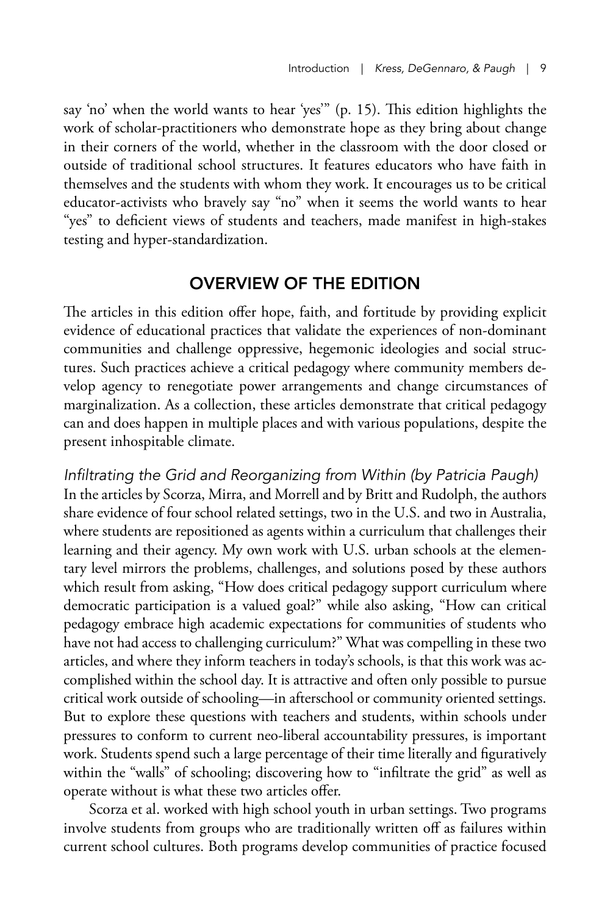say 'no' when the world wants to hear 'yes'" (p. 15). This edition highlights the work of scholar-practitioners who demonstrate hope as they bring about change in their corners of the world, whether in the classroom with the door closed or outside of traditional school structures. It features educators who have faith in themselves and the students with whom they work. It encourages us to be critical educator-activists who bravely say "no" when it seems the world wants to hear "yes" to deficient views of students and teachers, made manifest in high-stakes testing and hyper-standardization.

#### Overview of the Edition

The articles in this edition offer hope, faith, and fortitude by providing explicit evidence of educational practices that validate the experiences of non-dominant communities and challenge oppressive, hegemonic ideologies and social structures. Such practices achieve a critical pedagogy where community members develop agency to renegotiate power arrangements and change circumstances of marginalization. As a collection, these articles demonstrate that critical pedagogy can and does happen in multiple places and with various populations, despite the present inhospitable climate.

Infiltrating the Grid and Reorganizing from Within (by Patricia Paugh) In the articles by Scorza, Mirra, and Morrell and by Britt and Rudolph, the authors share evidence of four school related settings, two in the U.S. and two in Australia, where students are repositioned as agents within a curriculum that challenges their learning and their agency. My own work with U.S. urban schools at the elementary level mirrors the problems, challenges, and solutions posed by these authors which result from asking, "How does critical pedagogy support curriculum where democratic participation is a valued goal?" while also asking, "How can critical pedagogy embrace high academic expectations for communities of students who have not had access to challenging curriculum?" What was compelling in these two articles, and where they inform teachers in today's schools, is that this work was accomplished within the school day. It is attractive and often only possible to pursue critical work outside of schooling—in afterschool or community oriented settings. But to explore these questions with teachers and students, within schools under pressures to conform to current neo-liberal accountability pressures, is important work. Students spend such a large percentage of their time literally and figuratively within the "walls" of schooling; discovering how to "infiltrate the grid" as well as operate without is what these two articles offer.

Scorza et al. worked with high school youth in urban settings. Two programs involve students from groups who are traditionally written off as failures within current school cultures. Both programs develop communities of practice focused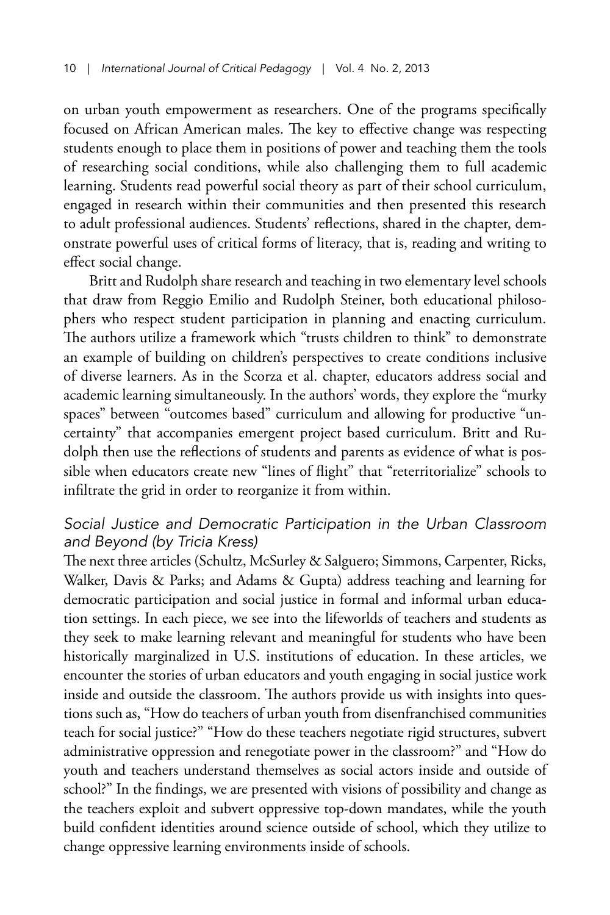on urban youth empowerment as researchers. One of the programs specifically focused on African American males. The key to effective change was respecting students enough to place them in positions of power and teaching them the tools of researching social conditions, while also challenging them to full academic learning. Students read powerful social theory as part of their school curriculum, engaged in research within their communities and then presented this research to adult professional audiences. Students' reflections, shared in the chapter, demonstrate powerful uses of critical forms of literacy, that is, reading and writing to effect social change.

Britt and Rudolph share research and teaching in two elementary level schools that draw from Reggio Emilio and Rudolph Steiner, both educational philosophers who respect student participation in planning and enacting curriculum. The authors utilize a framework which "trusts children to think" to demonstrate an example of building on children's perspectives to create conditions inclusive of diverse learners. As in the Scorza et al. chapter, educators address social and academic learning simultaneously. In the authors' words, they explore the "murky spaces" between "outcomes based" curriculum and allowing for productive "uncertainty" that accompanies emergent project based curriculum. Britt and Rudolph then use the reflections of students and parents as evidence of what is possible when educators create new "lines of flight" that "reterritorialize" schools to infiltrate the grid in order to reorganize it from within.

#### Social Justice and Democratic Participation in the Urban Classroom and Beyond (by Tricia Kress)

The next three articles (Schultz, McSurley & Salguero; Simmons, Carpenter, Ricks, Walker, Davis & Parks; and Adams & Gupta) address teaching and learning for democratic participation and social justice in formal and informal urban education settings. In each piece, we see into the lifeworlds of teachers and students as they seek to make learning relevant and meaningful for students who have been historically marginalized in U.S. institutions of education. In these articles, we encounter the stories of urban educators and youth engaging in social justice work inside and outside the classroom. The authors provide us with insights into questions such as, "How do teachers of urban youth from disenfranchised communities teach for social justice?" "How do these teachers negotiate rigid structures, subvert administrative oppression and renegotiate power in the classroom?" and "How do youth and teachers understand themselves as social actors inside and outside of school?" In the findings, we are presented with visions of possibility and change as the teachers exploit and subvert oppressive top-down mandates, while the youth build confident identities around science outside of school, which they utilize to change oppressive learning environments inside of schools.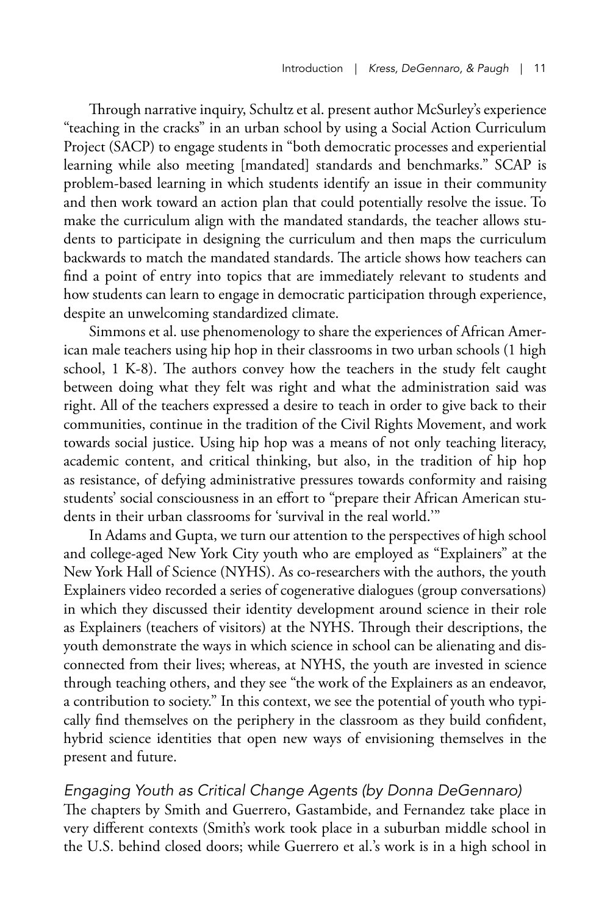Through narrative inquiry, Schultz et al. present author McSurley's experience "teaching in the cracks" in an urban school by using a Social Action Curriculum Project (SACP) to engage students in "both democratic processes and experiential learning while also meeting [mandated] standards and benchmarks." SCAP is problem-based learning in which students identify an issue in their community and then work toward an action plan that could potentially resolve the issue. To make the curriculum align with the mandated standards, the teacher allows students to participate in designing the curriculum and then maps the curriculum backwards to match the mandated standards. The article shows how teachers can find a point of entry into topics that are immediately relevant to students and how students can learn to engage in democratic participation through experience, despite an unwelcoming standardized climate.

Simmons et al. use phenomenology to share the experiences of African American male teachers using hip hop in their classrooms in two urban schools (1 high school, 1 K-8). The authors convey how the teachers in the study felt caught between doing what they felt was right and what the administration said was right. All of the teachers expressed a desire to teach in order to give back to their communities, continue in the tradition of the Civil Rights Movement, and work towards social justice. Using hip hop was a means of not only teaching literacy, academic content, and critical thinking, but also, in the tradition of hip hop as resistance, of defying administrative pressures towards conformity and raising students' social consciousness in an effort to "prepare their African American students in their urban classrooms for 'survival in the real world.'"

In Adams and Gupta, we turn our attention to the perspectives of high school and college-aged New York City youth who are employed as "Explainers" at the New York Hall of Science (NYHS). As co-researchers with the authors, the youth Explainers video recorded a series of cogenerative dialogues (group conversations) in which they discussed their identity development around science in their role as Explainers (teachers of visitors) at the NYHS. Through their descriptions, the youth demonstrate the ways in which science in school can be alienating and disconnected from their lives; whereas, at NYHS, the youth are invested in science through teaching others, and they see "the work of the Explainers as an endeavor, a contribution to society." In this context, we see the potential of youth who typically find themselves on the periphery in the classroom as they build confident, hybrid science identities that open new ways of envisioning themselves in the present and future.

#### Engaging Youth as Critical Change Agents (by Donna DeGennaro)

The chapters by Smith and Guerrero, Gastambide, and Fernandez take place in very different contexts (Smith's work took place in a suburban middle school in the U.S. behind closed doors; while Guerrero et al.'s work is in a high school in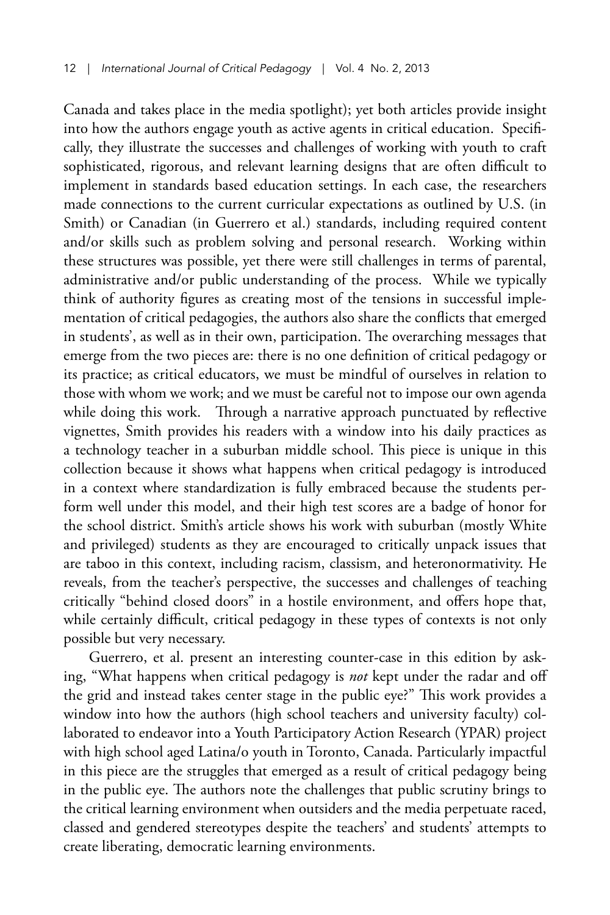Canada and takes place in the media spotlight); yet both articles provide insight into how the authors engage youth as active agents in critical education. Specifically, they illustrate the successes and challenges of working with youth to craft sophisticated, rigorous, and relevant learning designs that are often difficult to implement in standards based education settings. In each case, the researchers made connections to the current curricular expectations as outlined by U.S. (in Smith) or Canadian (in Guerrero et al.) standards, including required content and/or skills such as problem solving and personal research. Working within these structures was possible, yet there were still challenges in terms of parental, administrative and/or public understanding of the process. While we typically think of authority figures as creating most of the tensions in successful implementation of critical pedagogies, the authors also share the conflicts that emerged in students', as well as in their own, participation. The overarching messages that emerge from the two pieces are: there is no one definition of critical pedagogy or its practice; as critical educators, we must be mindful of ourselves in relation to those with whom we work; and we must be careful not to impose our own agenda while doing this work. Through a narrative approach punctuated by reflective vignettes, Smith provides his readers with a window into his daily practices as a technology teacher in a suburban middle school. This piece is unique in this collection because it shows what happens when critical pedagogy is introduced in a context where standardization is fully embraced because the students perform well under this model, and their high test scores are a badge of honor for the school district. Smith's article shows his work with suburban (mostly White and privileged) students as they are encouraged to critically unpack issues that are taboo in this context, including racism, classism, and heteronormativity. He reveals, from the teacher's perspective, the successes and challenges of teaching critically "behind closed doors" in a hostile environment, and offers hope that, while certainly difficult, critical pedagogy in these types of contexts is not only possible but very necessary.

Guerrero, et al. present an interesting counter-case in this edition by asking, "What happens when critical pedagogy is *not* kept under the radar and off the grid and instead takes center stage in the public eye?" This work provides a window into how the authors (high school teachers and university faculty) collaborated to endeavor into a Youth Participatory Action Research (YPAR) project with high school aged Latina/o youth in Toronto, Canada. Particularly impactful in this piece are the struggles that emerged as a result of critical pedagogy being in the public eye. The authors note the challenges that public scrutiny brings to the critical learning environment when outsiders and the media perpetuate raced, classed and gendered stereotypes despite the teachers' and students' attempts to create liberating, democratic learning environments.